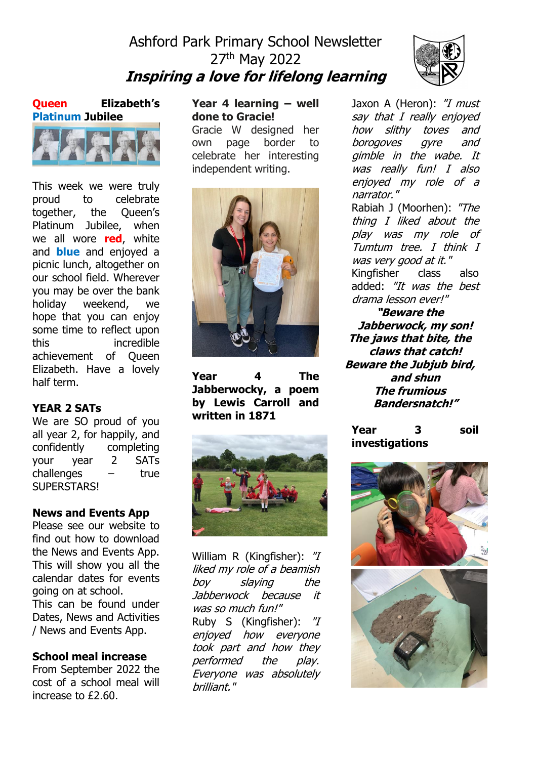# Ashford Park Primary School Newsletter 27th May 2022 **Inspiring a love for lifelong learning**

**Queen Elizabeth's Platinum Jubilee**



This week we were truly proud to celebrate together, the Queen's Platinum Jubilee, when we all wore **red**, white and **blue** and enjoyed a picnic lunch, altogether on our school field. Wherever you may be over the bank holiday weekend, we hope that you can enjoy some time to reflect upon this incredible achievement of Queen Elizabeth. Have a lovely half term.

### **YEAR 2 SATs**

We are SO proud of you all year 2, for happily, and confidently completing your year 2 SATs challenges – true SUPERSTARS!

### **News and Events App**

Please see our website to find out how to download the News and Events App. This will show you all the calendar dates for events going on at school. This can be found under Dates, News and Activities / News and Events App.

### **School meal increase**

From September 2022 the cost of a school meal will increase to £2.60.

### **Year 4 learning – well done to Gracie!**

Gracie W designed her own page border to celebrate her interesting independent writing.



**Year 4 The Jabberwocky, a poem by Lewis Carroll and written in 1871**



William R (Kingfisher): "I liked my role of a beamish boy slaying the Jabberwock because it was so much fun!" Ruby S (Kingfisher): "I enjoyed how everyone took part and how they performed the play. Everyone was absolutely brilliant."

Jaxon A (Heron): "I must say that I really enjoyed how slithy toves and borogoves gyre and gimble in the wabe. It was really fun! I also enjoyed my role of a narrator." Rabiah J (Moorhen): "The thing I liked about the

play was my role of Tumtum tree. I think I was very good at it." Kingfisher class also added: "It was the best drama lesson ever!"

**"Beware the Jabberwock, my son! The jaws that bite, the claws that catch! Beware the Jubjub bird, and shun The frumious Bandersnatch!"**

**Year 3 soil investigations**

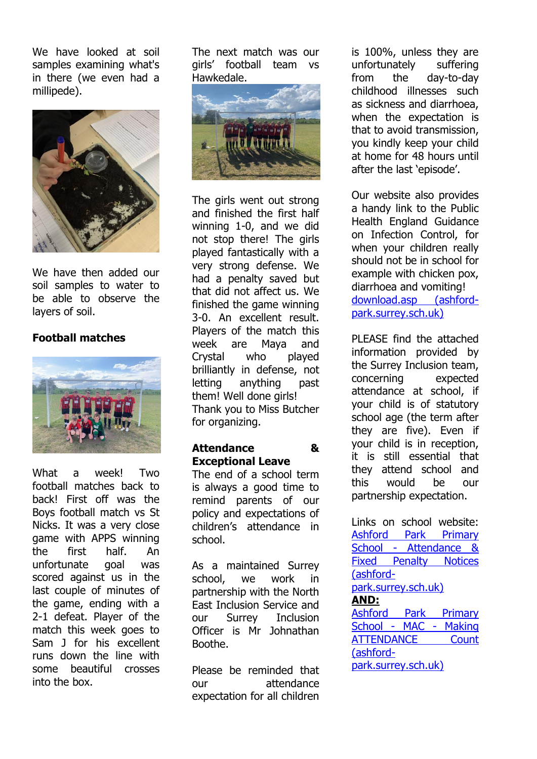We have looked at soil samples examining what's in there (we even had a millipede).



We have then added our soil samples to water to be able to observe the layers of soil.

### **Football matches**



What a week! Two football matches back to back! First off was the Boys football match vs St Nicks. It was a very close game with APPS winning the first half. An unfortunate goal was scored against us in the last couple of minutes of the game, ending with a 2-1 defeat. Player of the match this week goes to Sam J for his excellent runs down the line with some beautiful crosses into the box.

The next match was our girls' football team vs Hawkedale.



The girls went out strong and finished the first half winning 1-0, and we did not stop there! The girls played fantastically with a very strong defense. We had a penalty saved but that did not affect us. We finished the game winning 3-0. An excellent result. Players of the match this week are Maya and Crystal who played brilliantly in defense, not letting anything past them! Well done girls! Thank you to Miss Butcher for organizing.

### **Attendance & Exceptional Leave**

The end of a school term is always a good time to remind parents of our policy and expectations of children's attendance in school.

As a maintained Surrey school, we work in partnership with the North East Inclusion Service and our Surrey Inclusion Officer is Mr Johnathan Boothe.

Please be reminded that our attendance expectation for all children is 100%, unless they are unfortunately suffering from the day-to-day childhood illnesses such as sickness and diarrhoea, when the expectation is that to avoid transmission, you kindly keep your child at home for 48 hours until after the last 'episode'.

Our website also provides a handy link to the Public Health England Guidance on Infection Control, for when your children really should not be in school for example with chicken pox, diarrhoea and vomiting! [download.asp \(ashford](https://www.ashford-park.surrey.sch.uk/attachments/download.asp?file=6154&type=pdf)[park.surrey.sch.uk\)](https://www.ashford-park.surrey.sch.uk/attachments/download.asp?file=6154&type=pdf)

PLEASE find the attached information provided by the Surrey Inclusion team, concerning expected attendance at school, if your child is of statutory school age (the term after they are five). Even if your child is in reception, it is still essential that they attend school and this would be our partnership expectation.

Links on school website: [Ashford Park Primary](https://www.ashford-park.surrey.sch.uk/page/?title=Attendance+%26amp%3B+Fixed+Penalty+Notices&pid=88)  School - [Attendance &](https://www.ashford-park.surrey.sch.uk/page/?title=Attendance+%26amp%3B+Fixed+Penalty+Notices&pid=88)  [Fixed Penalty Notices](https://www.ashford-park.surrey.sch.uk/page/?title=Attendance+%26amp%3B+Fixed+Penalty+Notices&pid=88)  [\(ashford](https://www.ashford-park.surrey.sch.uk/page/?title=Attendance+%26amp%3B+Fixed+Penalty+Notices&pid=88)[park.surrey.sch.uk\)](https://www.ashford-park.surrey.sch.uk/page/?title=Attendance+%26amp%3B+Fixed+Penalty+Notices&pid=88) **AND:** [Ashford Park Primary](https://www.ashford-park.surrey.sch.uk/page/?title=MAC+%2D+Making+ATTENDANCE+Count&pid=82)  [School -](https://www.ashford-park.surrey.sch.uk/page/?title=MAC+%2D+Making+ATTENDANCE+Count&pid=82) MAC - Making ATTENDANCE Count [\(ashford](https://www.ashford-park.surrey.sch.uk/page/?title=MAC+%2D+Making+ATTENDANCE+Count&pid=82)[park.surrey.sch.uk\)](https://www.ashford-park.surrey.sch.uk/page/?title=MAC+%2D+Making+ATTENDANCE+Count&pid=82)